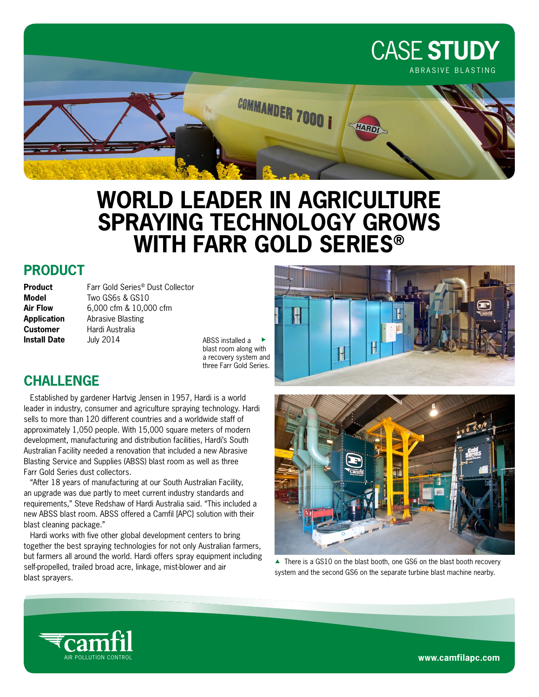

# **WORLD LEADER IN AGRICULTURE SPRAYING TECHNOLOGY GROWS WITH FARR GOLD SERIES®**

### **PRODUCT**

| Product             |
|---------------------|
| Model               |
| <b>Air Flow</b>     |
| <b>Application</b>  |
| <b>Customer</b>     |
| <b>Install Date</b> |

Farr Gold Series<sup>®</sup> Dust Collector **Model** Two GS6s & GS10 **Air Flow** 6,000 cfm & 10,000 cfm **Abrasive Blasting Hardi Australia Install Date** July 2014

ABSS installed a blast room along with a recovery system and three Farr Gold Series.

## **CHALLENGE**

Established by gardener Hartvig Jensen in 1957, Hardi is a world leader in industry, consumer and agriculture spraying technology. Hardi sells to more than 120 different countries and a worldwide staff of approximately 1,050 people. With 15,000 square meters of modern development, manufacturing and distribution facilities, Hardi's South Australian Facility needed a renovation that included a new Abrasive Blasting Service and Supplies (ABSS) blast room as well as three Farr Gold Series dust collectors.

"After 18 years of manufacturing at our South Australian Facility, an upgrade was due partly to meet current industry standards and requirements," Steve Redshaw of Hardi Australia said. "This included a new ABSS blast room. ABSS offered a Camfil [APC] solution with their blast cleaning package."

Hardi works with five other global development centers to bring together the best spraying technologies for not only Australian farmers, but farmers all around the world. Hardi offers spray equipment including self-propelled, trailed broad acre, linkage, mist-blower and air blast sprayers.





▲ There is a GS10 on the blast booth, one GS6 on the blast booth recovery system and the second GS6 on the separate turbine blast machine nearby.



www.camfilapc.com